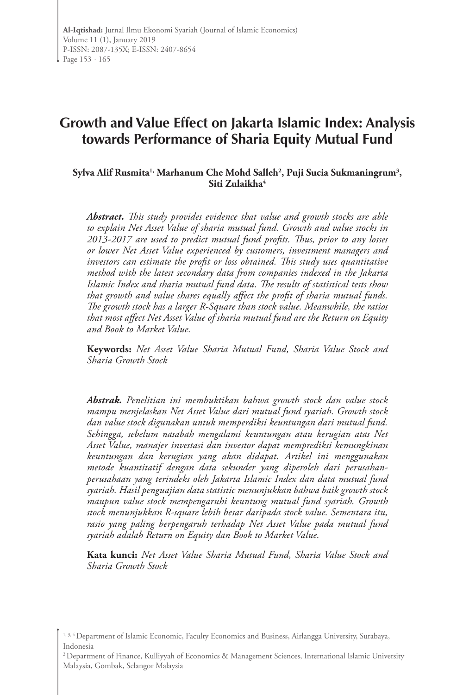# **Growth and Value Effect on Jakarta Islamic Index: Analysis towards Performance of Sharia Equity Mutual Fund**

**Sylva Alif Rusmita1, Marhanum Che Mohd Salleh2 , Puji Sucia Sukmaningrum3 ,**  Siti Zulaikha<sup>4</sup>

*Abstract. This study provides evidence that value and growth stocks are able to explain Net Asset Value of sharia mutual fund. Growth and value stocks in 2013-2017 are used to predict mutual fund profits. Thus, prior to any losses or lower Net Asset Value experienced by customers, investment managers and investors can estimate the profit or loss obtained. This study uses quantitative method with the latest secondary data from companies indexed in the Jakarta Islamic Index and sharia mutual fund data. The results of statistical tests show that growth and value shares equally affect the profit of sharia mutual funds. The growth stock has a larger R-Square than stock value. Meanwhile, the ratios that most affect Net Asset Value of sharia mutual fund are the Return on Equity and Book to Market Value.*

**Keywords:** *Net Asset Value Sharia Mutual Fund, Sharia Value Stock and Sharia Growth Stock*

*Abstrak. Penelitian ini membuktikan bahwa growth stock dan value stock mampu menjelaskan Net Asset Value dari mutual fund syariah. Growth stock dan value stock digunakan untuk memperdiksi keuntungan dari mutual fund. Sehingga, sebelum nasabah mengalami keuntungan atau kerugian atas Net Asset Value, manajer investasi dan investor dapat memprediksi kemungkinan keuntungan dan kerugian yang akan didapat. Artikel ini menggunakan metode kuantitatif dengan data sekunder yang diperoleh dari perusahanperusahaan yang terindeks oleh Jakarta Islamic Index dan data mutual fund syariah. Hasil penguajian data statistic menunjukkan bahwa baik growth stock maupun value stock mempengaruhi keuntung mutual fund syariah. Growth stock menunjukkan R-square lebih besar daripada stock value. Sementara itu, rasio yang paling berpengaruh terhadap Net Asset Value pada mutual fund syariah adalah Return on Equity dan Book to Market Value.*

**Kata kunci:** *Net Asset Value Sharia Mutual Fund, Sharia Value Stock and Sharia Growth Stock*

<sup>&</sup>lt;sup>1, 3, 4</sup> Department of Islamic Economic, Faculty Economics and Business, Airlangga University, Surabaya, Indonesia

<sup>&</sup>lt;sup>2</sup> Department of Finance, Kulliyyah of Economics & Management Sciences, International Islamic University Malaysia, Gombak, Selangor Malaysia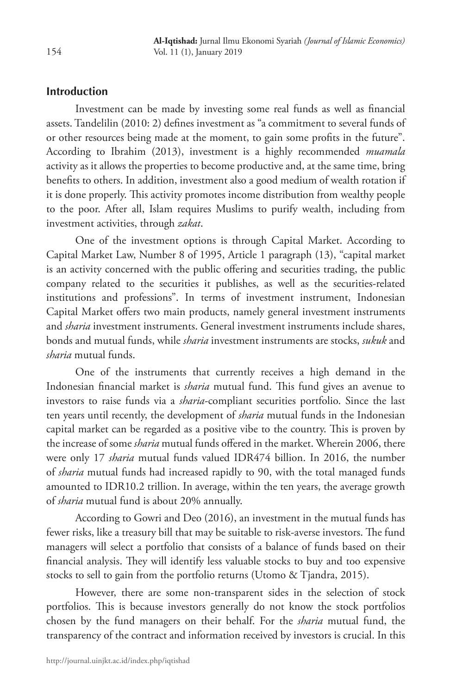## **Introduction**

Investment can be made by investing some real funds as well as financial assets. Tandelilin (2010: 2) defines investment as "a commitment to several funds of or other resources being made at the moment, to gain some profits in the future". According to Ibrahim (2013), investment is a highly recommended *muamala* activity as it allows the properties to become productive and, at the same time, bring benefits to others. In addition, investment also a good medium of wealth rotation if it is done properly. This activity promotes income distribution from wealthy people to the poor. After all, Islam requires Muslims to purify wealth, including from investment activities, through *zakat*.

One of the investment options is through Capital Market. According to Capital Market Law, Number 8 of 1995, Article 1 paragraph (13), "capital market is an activity concerned with the public offering and securities trading, the public company related to the securities it publishes, as well as the securities-related institutions and professions". In terms of investment instrument, Indonesian Capital Market offers two main products, namely general investment instruments and *sharia* investment instruments. General investment instruments include shares, bonds and mutual funds, while *sharia* investment instruments are stocks, *sukuk* and *sharia* mutual funds.

One of the instruments that currently receives a high demand in the Indonesian financial market is *sharia* mutual fund. This fund gives an avenue to investors to raise funds via a *sharia*-compliant securities portfolio. Since the last ten years until recently, the development of *sharia* mutual funds in the Indonesian capital market can be regarded as a positive vibe to the country. This is proven by the increase of some *sharia* mutual funds offered in the market. Wherein 2006, there were only 17 *sharia* mutual funds valued IDR474 billion. In 2016, the number of *sharia* mutual funds had increased rapidly to 90, with the total managed funds amounted to IDR10.2 trillion. In average, within the ten years, the average growth of *sharia* mutual fund is about 20% annually.

According to Gowri and Deo (2016), an investment in the mutual funds has fewer risks, like a treasury bill that may be suitable to risk-averse investors. The fund managers will select a portfolio that consists of a balance of funds based on their financial analysis. They will identify less valuable stocks to buy and too expensive stocks to sell to gain from the portfolio returns (Utomo & Tjandra, 2015).

However, there are some non-transparent sides in the selection of stock portfolios. This is because investors generally do not know the stock portfolios chosen by the fund managers on their behalf. For the *sharia* mutual fund, the transparency of the contract and information received by investors is crucial. In this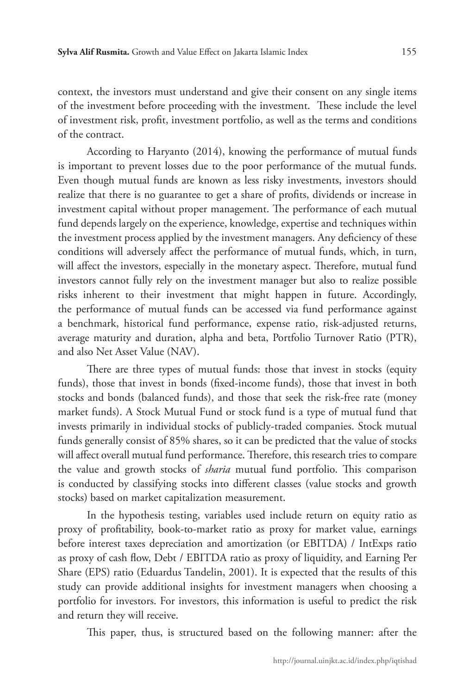context, the investors must understand and give their consent on any single items of the investment before proceeding with the investment. These include the level of investment risk, profit, investment portfolio, as well as the terms and conditions of the contract.

According to Haryanto (2014), knowing the performance of mutual funds is important to prevent losses due to the poor performance of the mutual funds. Even though mutual funds are known as less risky investments, investors should realize that there is no guarantee to get a share of profits, dividends or increase in investment capital without proper management. The performance of each mutual fund depends largely on the experience, knowledge, expertise and techniques within the investment process applied by the investment managers. Any deficiency of these conditions will adversely affect the performance of mutual funds, which, in turn, will affect the investors, especially in the monetary aspect. Therefore, mutual fund investors cannot fully rely on the investment manager but also to realize possible risks inherent to their investment that might happen in future. Accordingly, the performance of mutual funds can be accessed via fund performance against a benchmark, historical fund performance, expense ratio, risk-adjusted returns, average maturity and duration, alpha and beta, Portfolio Turnover Ratio (PTR), and also Net Asset Value (NAV).

There are three types of mutual funds: those that invest in stocks (equity funds), those that invest in bonds (fixed-income funds), those that invest in both stocks and bonds (balanced funds), and those that seek the risk-free rate (money market funds). A Stock Mutual Fund or stock fund is a type of mutual fund that invests primarily in individual stocks of publicly-traded companies. Stock mutual funds generally consist of 85% shares, so it can be predicted that the value of stocks will affect overall mutual fund performance. Therefore, this research tries to compare the value and growth stocks of *sharia* mutual fund portfolio. This comparison is conducted by classifying stocks into different classes (value stocks and growth stocks) based on market capitalization measurement.

In the hypothesis testing, variables used include return on equity ratio as proxy of profitability, book-to-market ratio as proxy for market value, earnings before interest taxes depreciation and amortization (or EBITDA) / IntExps ratio as proxy of cash flow, Debt / EBITDA ratio as proxy of liquidity, and Earning Per Share (EPS) ratio (Eduardus Tandelin, 2001). It is expected that the results of this study can provide additional insights for investment managers when choosing a portfolio for investors. For investors, this information is useful to predict the risk and return they will receive.

This paper, thus, is structured based on the following manner: after the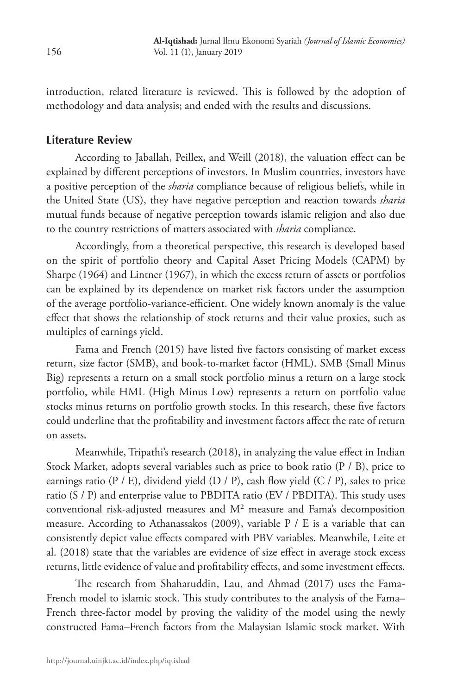introduction, related literature is reviewed. This is followed by the adoption of methodology and data analysis; and ended with the results and discussions.

### **Literature Review**

According to Jaballah, Peillex, and Weill (2018), the valuation effect can be explained by different perceptions of investors. In Muslim countries, investors have a positive perception of the *sharia* compliance because of religious beliefs, while in the United State (US), they have negative perception and reaction towards *sharia* mutual funds because of negative perception towards islamic religion and also due to the country restrictions of matters associated with *sharia* compliance.

Accordingly, from a theoretical perspective, this research is developed based on the spirit of portfolio theory and Capital Asset Pricing Models (CAPM) by Sharpe (1964) and Lintner (1967), in which the excess return of assets or portfolios can be explained by its dependence on market risk factors under the assumption of the average portfolio-variance-efficient. One widely known anomaly is the value effect that shows the relationship of stock returns and their value proxies, such as multiples of earnings yield.

Fama and French (2015) have listed five factors consisting of market excess return, size factor (SMB), and book-to-market factor (HML). SMB (Small Minus Big) represents a return on a small stock portfolio minus a return on a large stock portfolio, while HML (High Minus Low) represents a return on portfolio value stocks minus returns on portfolio growth stocks. In this research, these five factors could underline that the profitability and investment factors affect the rate of return on assets.

Meanwhile, Tripathi's research (2018), in analyzing the value effect in Indian Stock Market, adopts several variables such as price to book ratio (P / B), price to earnings ratio ( $P / E$ ), dividend yield ( $D / P$ ), cash flow yield ( $C / P$ ), sales to price ratio (S / P) and enterprise value to PBDITA ratio (EV / PBDITA). This study uses conventional risk-adjusted measures and M² measure and Fama's decomposition measure. According to Athanassakos (2009), variable P / E is a variable that can consistently depict value effects compared with PBV variables. Meanwhile, Leite et al. (2018) state that the variables are evidence of size effect in average stock excess returns, little evidence of value and profitability effects, and some investment effects.

The research from Shaharuddin, Lau, and Ahmad (2017) uses the Fama-French model to islamic stock. This study contributes to the analysis of the Fama– French three-factor model by proving the validity of the model using the newly constructed Fama–French factors from the Malaysian Islamic stock market. With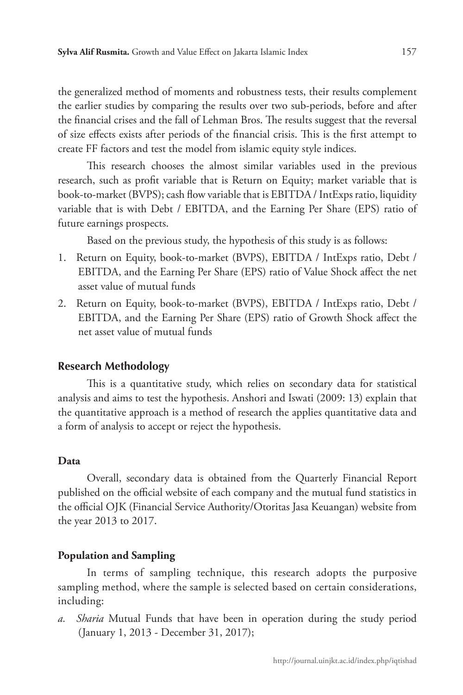the generalized method of moments and robustness tests, their results complement the earlier studies by comparing the results over two sub-periods, before and after the financial crises and the fall of Lehman Bros. The results suggest that the reversal of size effects exists after periods of the financial crisis. This is the first attempt to create FF factors and test the model from islamic equity style indices.

This research chooses the almost similar variables used in the previous research, such as profit variable that is Return on Equity; market variable that is book-to-market (BVPS); cash flow variable that is EBITDA / IntExps ratio, liquidity variable that is with Debt / EBITDA, and the Earning Per Share (EPS) ratio of future earnings prospects.

Based on the previous study, the hypothesis of this study is as follows:

- 1. Return on Equity, book-to-market (BVPS), EBITDA / IntExps ratio, Debt / EBITDA, and the Earning Per Share (EPS) ratio of Value Shock affect the net asset value of mutual funds
- 2. Return on Equity, book-to-market (BVPS), EBITDA / IntExps ratio, Debt / EBITDA, and the Earning Per Share (EPS) ratio of Growth Shock affect the net asset value of mutual funds

#### **Research Methodology**

This is a quantitative study, which relies on secondary data for statistical analysis and aims to test the hypothesis. Anshori and Iswati (2009: 13) explain that the quantitative approach is a method of research the applies quantitative data and a form of analysis to accept or reject the hypothesis.

#### **Data**

Overall, secondary data is obtained from the Quarterly Financial Report published on the official website of each company and the mutual fund statistics in the official OJK (Financial Service Authority/Otoritas Jasa Keuangan) website from the year 2013 to 2017.

#### **Population and Sampling**

In terms of sampling technique, this research adopts the purposive sampling method, where the sample is selected based on certain considerations, including:

*a. Sharia* Mutual Funds that have been in operation during the study period (January 1, 2013 - December 31, 2017);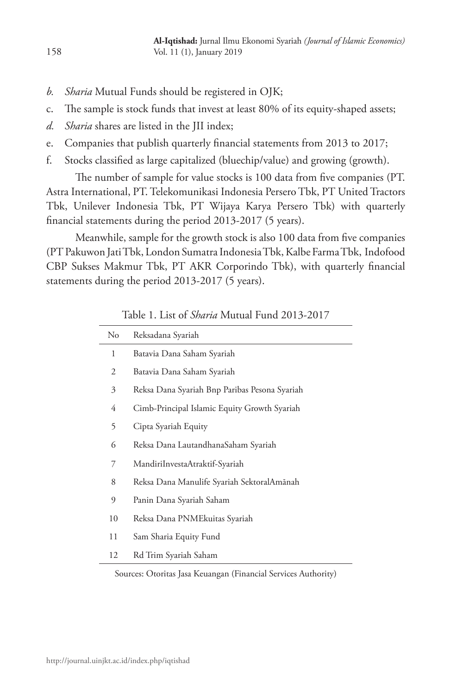- *b. Sharia* Mutual Funds should be registered in OJK;
- c. The sample is stock funds that invest at least 80% of its equity-shaped assets;
- *d. Sharia* shares are listed in the JII index;
- e. Companies that publish quarterly financial statements from 2013 to 2017;
- f. Stocks classified as large capitalized (bluechip/value) and growing (growth).

The number of sample for value stocks is 100 data from five companies (PT. Astra International, PT. Telekomunikasi Indonesia Persero Tbk, PT United Tractors Tbk, Unilever Indonesia Tbk, PT Wijaya Karya Persero Tbk) with quarterly financial statements during the period 2013-2017 (5 years).

Meanwhile, sample for the growth stock is also 100 data from five companies (PT Pakuwon Jati Tbk, London Sumatra Indonesia Tbk, Kalbe Farma Tbk, Indofood CBP Sukses Makmur Tbk, PT AKR Corporindo Tbk), with quarterly financial statements during the period 2013-2017 (5 years).

| No | Reksadana Syariah                             |  |  |  |
|----|-----------------------------------------------|--|--|--|
| 1  | Batavia Dana Saham Syariah                    |  |  |  |
| 2  | Batavia Dana Saham Syariah                    |  |  |  |
| 3  | Reksa Dana Syariah Bnp Paribas Pesona Syariah |  |  |  |
| 4  | Cimb-Principal Islamic Equity Growth Syariah  |  |  |  |
| 5  | Cipta Syariah Equity                          |  |  |  |
| 6  | Reksa Dana LautandhanaSaham Syariah           |  |  |  |
| 7  | MandiriInvestaAtraktif-Syariah                |  |  |  |
| 8  | Reksa Dana Manulife Syariah SektoralAmānah    |  |  |  |
| 9  | Panin Dana Syariah Saham                      |  |  |  |
| 10 | Reksa Dana PNMEkuitas Syariah                 |  |  |  |
| 11 | Sam Sharia Equity Fund                        |  |  |  |
| 12 | Rd Trim Syariah Saham                         |  |  |  |

| Table 1. List of Sharia Mutual Fund 2013-2017 |  |  |
|-----------------------------------------------|--|--|
|-----------------------------------------------|--|--|

Sources: Otoritas Jasa Keuangan (Financial Services Authority)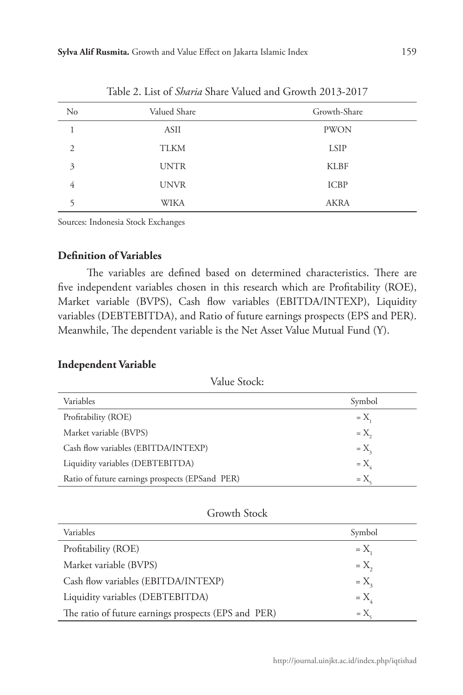| $\rm No$                    | Valued Share | Growth-Share |
|-----------------------------|--------------|--------------|
|                             | ASII         | <b>PWON</b>  |
| $\mathcal{D}_{\mathcal{L}}$ | <b>TLKM</b>  | <b>LSIP</b>  |
| 3                           | <b>UNTR</b>  | <b>KLBF</b>  |
| 4                           | <b>UNVR</b>  | <b>ICBP</b>  |
|                             | WIKA         | <b>AKRA</b>  |

Table 2. List of *Sharia* Share Valued and Growth 2013-2017

Sources: Indonesia Stock Exchanges

# **Definition of Variables**

The variables are defined based on determined characteristics. There are five independent variables chosen in this research which are Profitability (ROE), Market variable (BVPS), Cash flow variables (EBITDA/INTEXP), Liquidity variables (DEBTEBITDA), and Ratio of future earnings prospects (EPS and PER). Meanwhile, The dependent variable is the Net Asset Value Mutual Fund (Y).

#### **Independent Variable**

Value Stock:

| Variables                                       | Symbol         |
|-------------------------------------------------|----------------|
| Profitability (ROE)                             | $=X$           |
| Market variable (BVPS)                          | $=X_{2}$       |
| Cash flow variables (EBITDA/INTEXP)             | $=X_{\rm a}$   |
| Liquidity variables (DEBTEBITDA)                | $=X_{\lambda}$ |
| Ratio of future earnings prospects (EPSand PER) | $=X$           |

# Growth Stock

| Variables                                            | Symbol          |
|------------------------------------------------------|-----------------|
| Profitability (ROE)                                  | $=X_{1}$        |
| Market variable (BVPS)                               | $=X$            |
| Cash flow variables (EBITDA/INTEXP)                  | $=X_{\alpha}$   |
| Liquidity variables (DEBTEBITDA)                     | $=X_{\lambda}$  |
| The ratio of future earnings prospects (EPS and PER) | $=X_{\epsilon}$ |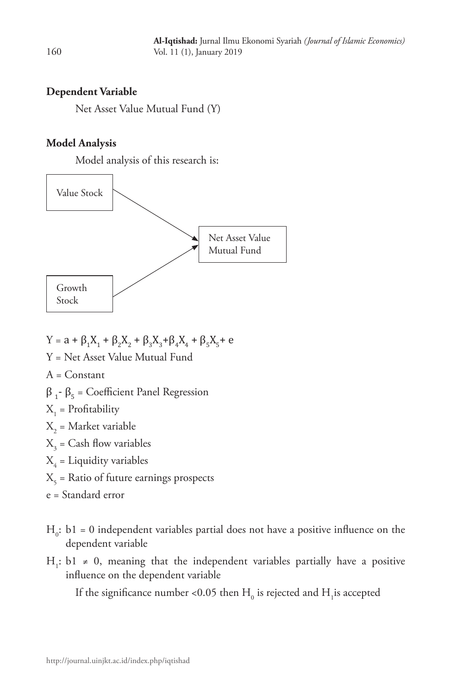## **Dependent Variable**

Net Asset Value Mutual Fund (Y)

### **Model Analysis**

Model analysis of this research is:



- $Y = a + β<sub>1</sub>X<sub>1</sub> + β<sub>2</sub>X<sub>2</sub> + β<sub>3</sub>X<sub>3</sub>+β<sub>4</sub>X<sub>4</sub> + β<sub>5</sub>X<sub>5</sub> + e$
- Y = Net Asset Value Mutual Fund
- A = Constant

$$
\beta_1\text{-}\beta_5 = Coefficient \text{ Panel Regression}
$$

- $X_1$  = Profitability
- $X_{2}$  = Market variable
- $X_{3}$  = Cash flow variables
- $X_4$  = Liquidity variables
- $X_{\zeta}$  = Ratio of future earnings prospects
- e = Standard error
- $H_0$ : b1 = 0 independent variables partial does not have a positive influence on the dependent variable
- H<sub>1</sub>: b1 ≠ 0, meaning that the independent variables partially have a positive influence on the dependent variable

If the significance number <0.05 then  $\rm H_{_0}$  is rejected and  $\rm H_{_1}$ is accepted

160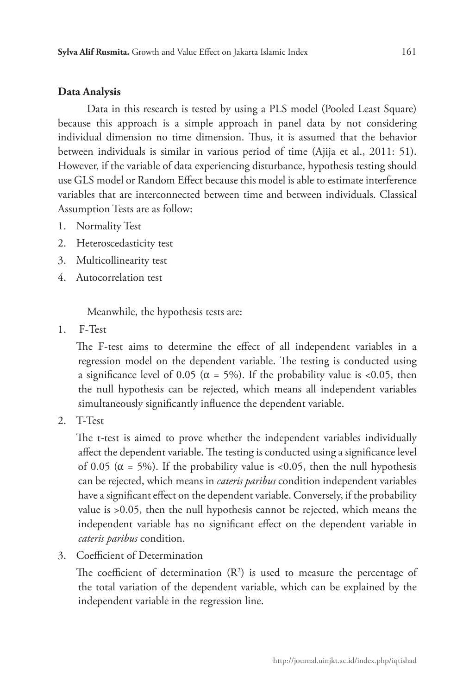# **Data Analysis**

Data in this research is tested by using a PLS model (Pooled Least Square) because this approach is a simple approach in panel data by not considering individual dimension no time dimension. Thus, it is assumed that the behavior between individuals is similar in various period of time (Ajija et al., 2011: 51). However, if the variable of data experiencing disturbance, hypothesis testing should use GLS model or Random Effect because this model is able to estimate interference variables that are interconnected between time and between individuals. Classical Assumption Tests are as follow:

- 1. Normality Test
- 2. Heteroscedasticity test
- 3. Multicollinearity test
- 4. Autocorrelation test

Meanwhile, the hypothesis tests are:

1. F-Test

The F-test aims to determine the effect of all independent variables in a regression model on the dependent variable. The testing is conducted using a significance level of 0.05 ( $\alpha$  = 5%). If the probability value is <0.05, then the null hypothesis can be rejected, which means all independent variables simultaneously significantly influence the dependent variable.

2. T-Test

The t-test is aimed to prove whether the independent variables individually affect the dependent variable. The testing is conducted using a significance level of 0.05 ( $\alpha$  = 5%). If the probability value is <0.05, then the null hypothesis can be rejected, which means in *cateris paribus* condition independent variables have a significant effect on the dependent variable. Conversely, if the probability value is >0.05, then the null hypothesis cannot be rejected, which means the independent variable has no significant effect on the dependent variable in *cateris paribus* condition.

3. Coefficient of Determination

The coefficient of determination  $(R^2)$  is used to measure the percentage of the total variation of the dependent variable, which can be explained by the independent variable in the regression line.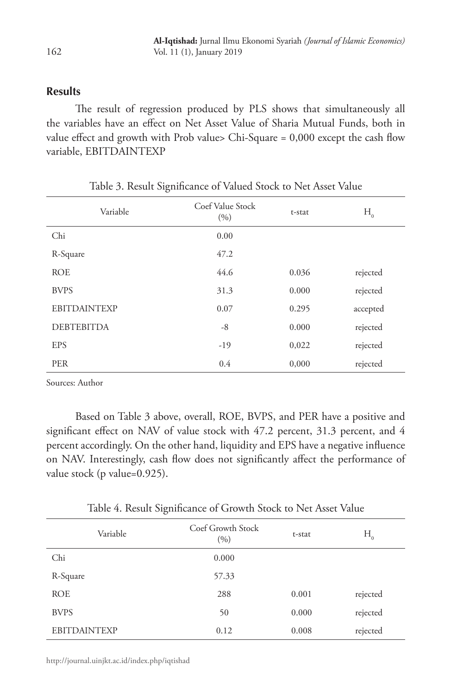#### **Results**

The result of regression produced by PLS shows that simultaneously all the variables have an effect on Net Asset Value of Sharia Mutual Funds, both in value effect and growth with Prob value> Chi-Square = 0,000 except the cash flow variable, EBITDAINTEXP

| Variable            | Coef Value Stock<br>(9/0) | t-stat | $H_{0}$  |
|---------------------|---------------------------|--------|----------|
| Chi                 | 0.00                      |        |          |
| R-Square            | 47.2                      |        |          |
| <b>ROE</b>          | 44.6                      | 0.036  | rejected |
| <b>BVPS</b>         | 31.3                      | 0.000  | rejected |
| <b>EBITDAINTEXP</b> | 0.07                      | 0.295  | accepted |
| <b>DEBTEBITDA</b>   | $-8$                      | 0.000  | rejected |
| <b>EPS</b>          | $-19$                     | 0,022  | rejected |
| <b>PER</b>          | 0.4                       | 0,000  | rejected |

|  |  |  |  | Table 3. Result Significance of Valued Stock to Net Asset Value |  |  |  |  |  |  |  |  |
|--|--|--|--|-----------------------------------------------------------------|--|--|--|--|--|--|--|--|
|--|--|--|--|-----------------------------------------------------------------|--|--|--|--|--|--|--|--|

Sources: Author

Based on Table 3 above, overall, ROE, BVPS, and PER have a positive and significant effect on NAV of value stock with 47.2 percent, 31.3 percent, and 4 percent accordingly. On the other hand, liquidity and EPS have a negative influence on NAV. Interestingly, cash flow does not significantly affect the performance of value stock (p value=0.925).

Table 4. Result Significance of Growth Stock to Net Asset Value

| Variable            | Coef Growth Stock<br>(9/0) | t-stat | $H_{_{0}}$ |
|---------------------|----------------------------|--------|------------|
| Chi                 | 0.000                      |        |            |
| R-Square            | 57.33                      |        |            |
| <b>ROE</b>          | 288                        | 0.001  | rejected   |
| <b>BVPS</b>         | 50                         | 0.000  | rejected   |
| <b>EBITDAINTEXP</b> | 0.12                       | 0.008  | rejected   |

162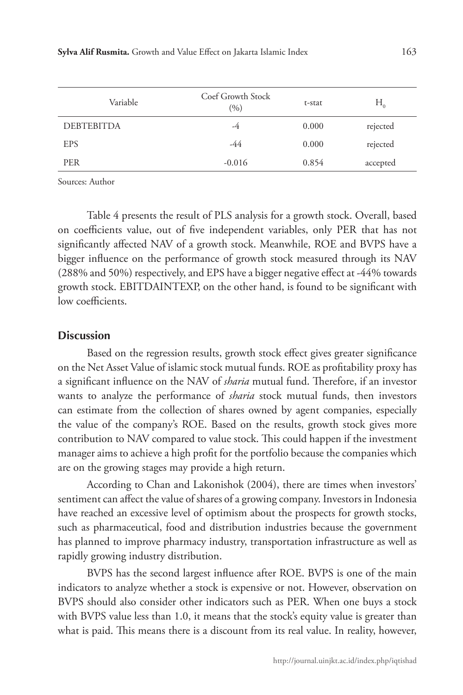| Variable          | Coef Growth Stock<br>(9/0) | t-stat | $H_{0}$  |
|-------------------|----------------------------|--------|----------|
| <b>DEBTEBITDA</b> | -4                         | 0.000  | rejected |
| <b>EPS</b>        | -44                        | 0.000  | rejected |
| <b>PER</b>        | $-0.016$                   | 0.854  | accepted |

Sources: Author

Table 4 presents the result of PLS analysis for a growth stock. Overall, based on coefficients value, out of five independent variables, only PER that has not significantly affected NAV of a growth stock. Meanwhile, ROE and BVPS have a bigger influence on the performance of growth stock measured through its NAV (288% and 50%) respectively, and EPS have a bigger negative effect at -44% towards growth stock. EBITDAINTEXP, on the other hand, is found to be significant with low coefficients.

# **Discussion**

Based on the regression results, growth stock effect gives greater significance on the Net Asset Value of islamic stock mutual funds. ROE as profitability proxy has a significant influence on the NAV of *sharia* mutual fund. Therefore, if an investor wants to analyze the performance of *sharia* stock mutual funds, then investors can estimate from the collection of shares owned by agent companies, especially the value of the company's ROE. Based on the results, growth stock gives more contribution to NAV compared to value stock. This could happen if the investment manager aims to achieve a high profit for the portfolio because the companies which are on the growing stages may provide a high return.

According to Chan and Lakonishok (2004), there are times when investors' sentiment can affect the value of shares of a growing company. Investors in Indonesia have reached an excessive level of optimism about the prospects for growth stocks, such as pharmaceutical, food and distribution industries because the government has planned to improve pharmacy industry, transportation infrastructure as well as rapidly growing industry distribution.

BVPS has the second largest influence after ROE. BVPS is one of the main indicators to analyze whether a stock is expensive or not. However, observation on BVPS should also consider other indicators such as PER. When one buys a stock with BVPS value less than 1.0, it means that the stock's equity value is greater than what is paid. This means there is a discount from its real value. In reality, however,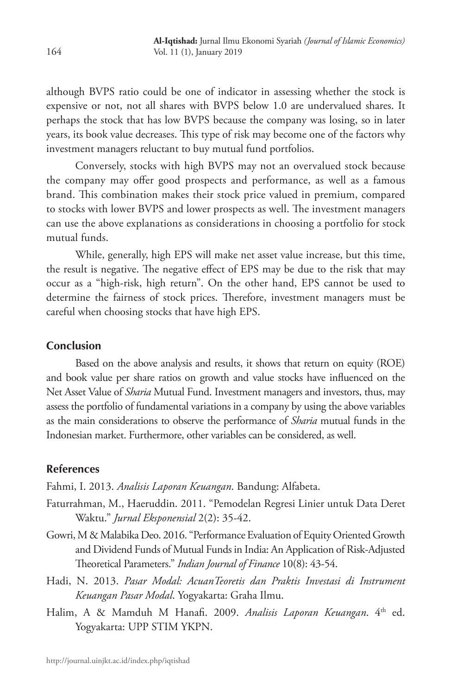although BVPS ratio could be one of indicator in assessing whether the stock is expensive or not, not all shares with BVPS below 1.0 are undervalued shares. It perhaps the stock that has low BVPS because the company was losing, so in later years, its book value decreases. This type of risk may become one of the factors why investment managers reluctant to buy mutual fund portfolios.

Conversely, stocks with high BVPS may not an overvalued stock because the company may offer good prospects and performance, as well as a famous brand. This combination makes their stock price valued in premium, compared to stocks with lower BVPS and lower prospects as well. The investment managers can use the above explanations as considerations in choosing a portfolio for stock mutual funds.

While, generally, high EPS will make net asset value increase, but this time, the result is negative. The negative effect of EPS may be due to the risk that may occur as a "high-risk, high return". On the other hand, EPS cannot be used to determine the fairness of stock prices. Therefore, investment managers must be careful when choosing stocks that have high EPS.

# **Conclusion**

Based on the above analysis and results, it shows that return on equity (ROE) and book value per share ratios on growth and value stocks have influenced on the Net Asset Value of *Sharia* Mutual Fund. Investment managers and investors, thus, may assess the portfolio of fundamental variations in a company by using the above variables as the main considerations to observe the performance of *Sharia* mutual funds in the Indonesian market. Furthermore, other variables can be considered, as well.

# **References**

Fahmi, I. 2013. *Analisis Laporan Keuangan*. Bandung: Alfabeta.

- Faturrahman, M., Haeruddin. 2011. "Pemodelan Regresi Linier untuk Data Deret Waktu." *Jurnal Eksponensial* 2(2): 35-42.
- Gowri, M & Malabika Deo. 2016. "Performance Evaluation of Equity Oriented Growth and Dividend Funds of Mutual Funds in India: An Application of Risk-Adjusted Theoretical Parameters." *Indian Journal of Finance* 10(8): 43-54.
- Hadi, N. 2013. *Pasar Modal: AcuanTeoretis dan Praktis Investasi di Instrument Keuangan Pasar Modal*. Yogyakarta: Graha Ilmu.
- Halim, A & Mamduh M Hanafi. 2009. *Analisis Laporan Keuangan*. 4th ed. Yogyakarta: UPP STIM YKPN.